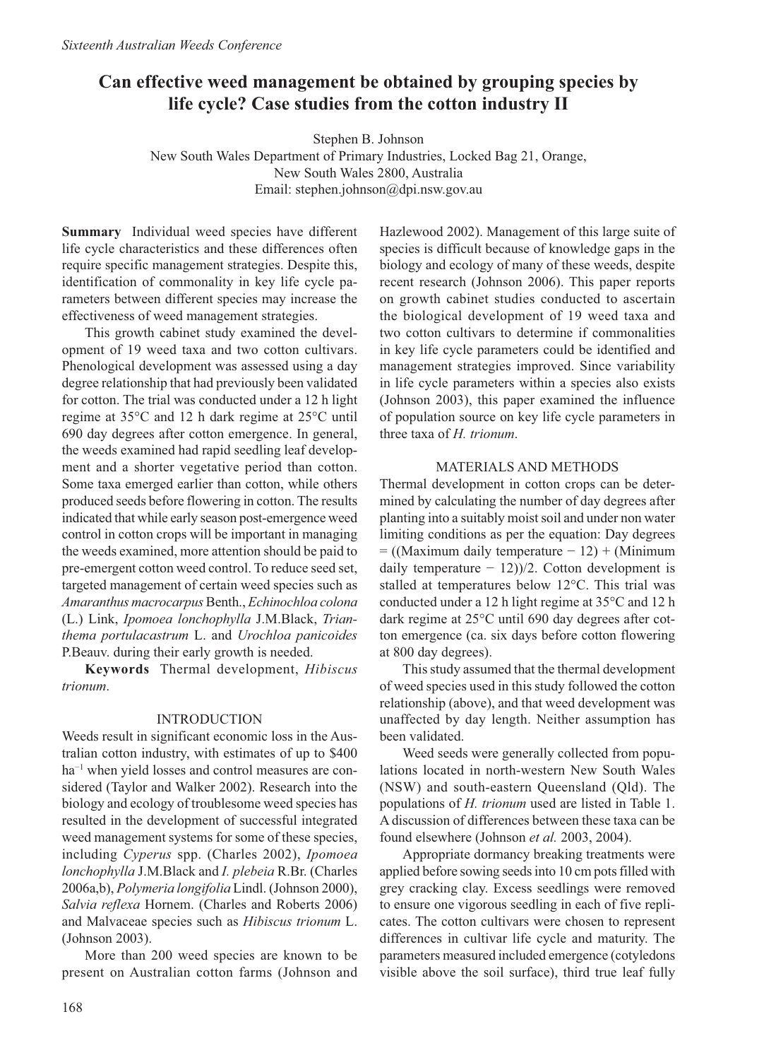# **Can effective weed management be obtained by grouping species by life cycle? Case studies from the cotton industry II**

Stephen B. Johnson

New South Wales Department of Primary Industries, Locked Bag 21, Orange, New South Wales 2800, Australia Email: stephen.johnson@dpi.nsw.gov.au

**Summary** Individual weed species have different life cycle characteristics and these differences often require specific management strategies. Despite this, identification of commonality in key life cycle parameters between different species may increase the effectiveness of weed management strategies.

This growth cabinet study examined the development of 19 weed taxa and two cotton cultivars. Phenological development was assessed using a day degree relationship that had previously been validated for cotton. The trial was conducted under a 12 h light regime at 35°C and 12 h dark regime at 25°C until 690 day degrees after cotton emergence. In general, the weeds examined had rapid seedling leaf development and a shorter vegetative period than cotton. Some taxa emerged earlier than cotton, while others produced seeds before flowering in cotton. The results indicated that while early season post-emergence weed control in cotton crops will be important in managing the weeds examined, more attention should be paid to pre-emergent cotton weed control. To reduce seed set, targeted management of certain weed species such as *Amaranthus macrocarpus* Benth., *Echinochloa colona*  (L.) Link, *Ipomoea lonchophylla* J.M.Black, *Trianthema portulacastrum* L. and *Urochloa panicoides*  P.Beauv. during their early growth is needed.

**Keywords** Thermal development, *Hibiscus trionum*.

### INTRODUCTION

Weeds result in significant economic loss in the Australian cotton industry, with estimates of up to \$400 ha<sup>-1</sup> when yield losses and control measures are considered (Taylor and Walker 2002). Research into the biology and ecology of troublesome weed species has resulted in the development of successful integrated weed management systems for some of these species, including *Cyperus* spp. (Charles 2002), *Ipomoea lonchophylla* J.M.Black and *I. plebeia* R.Br. (Charles 2006a,b), *Polymeria longifolia* Lindl. (Johnson 2000), *Salvia reflexa* Hornem. (Charles and Roberts 2006) and Malvaceae species such as *Hibiscus trionum* L. (Johnson 2003).

More than 200 weed species are known to be present on Australian cotton farms (Johnson and Hazlewood 2002). Management of this large suite of species is difficult because of knowledge gaps in the biology and ecology of many of these weeds, despite recent research (Johnson 2006). This paper reports on growth cabinet studies conducted to ascertain the biological development of 19 weed taxa and two cotton cultivars to determine if commonalities in key life cycle parameters could be identified and management strategies improved. Since variability in life cycle parameters within a species also exists (Johnson 2003), this paper examined the influence of population source on key life cycle parameters in three taxa of *H. trionum*.

### MATERIALS AND METHODS

Thermal development in cotton crops can be determined by calculating the number of day degrees after planting into a suitably moist soil and under non water limiting conditions as per the equation: Day degrees = ((Maximum daily temperature − 12) + (Minimum daily temperature  $-12$ ) $/2$ . Cotton development is stalled at temperatures below 12°C. This trial was conducted under a 12 h light regime at 35°C and 12 h dark regime at 25°C until 690 day degrees after cotton emergence (ca. six days before cotton flowering at 800 day degrees).

This study assumed that the thermal development of weed species used in this study followed the cotton relationship (above), and that weed development was unaffected by day length. Neither assumption has been validated.

Weed seeds were generally collected from populations located in north-western New South Wales (NSW) and south-eastern Queensland (Qld). The populations of *H. trionum* used are listed in Table 1. A discussion of differences between these taxa can be found elsewhere (Johnson *et al.* 2003, 2004).

Appropriate dormancy breaking treatments were applied before sowing seeds into 10 cm pots filled with grey cracking clay. Excess seedlings were removed to ensure one vigorous seedling in each of five replicates. The cotton cultivars were chosen to represent differences in cultivar life cycle and maturity. The parameters measured included emergence (cotyledons visible above the soil surface), third true leaf fully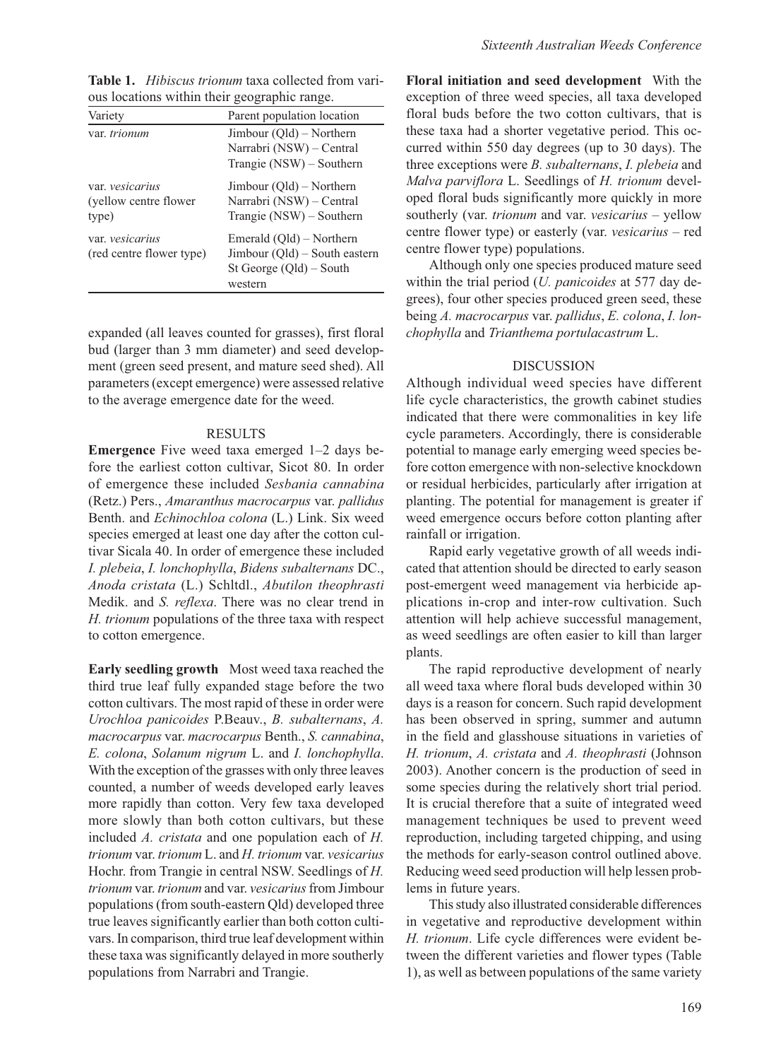**Table 1.** *Hibiscus trionum* taxa collected from various locations within their geographic range.

| Variety                                                   | Parent population location                                                                          |
|-----------------------------------------------------------|-----------------------------------------------------------------------------------------------------|
| var. trionum                                              | Jimbour $(QId)$ – Northern<br>Narrabri (NSW) – Central<br>Trangie $(NSW)$ – Southern                |
| var. <i>vesicarius</i><br>(yellow centre flower)<br>type) | Jimbour $(QId)$ – Northern<br>Narrabri (NSW) – Central<br>Trangie $(NSW)$ – Southern                |
| var. vesicarius<br>(red centre flower type)               | Emerald (Qld) – Northern<br>Jimbour $(QId)$ – South eastern<br>St George $(QId)$ – South<br>western |

expanded (all leaves counted for grasses), first floral bud (larger than 3 mm diameter) and seed development (green seed present, and mature seed shed). All parameters (except emergence) were assessed relative to the average emergence date for the weed.

#### RESULTS

**Emergence** Five weed taxa emerged 1–2 days before the earliest cotton cultivar, Sicot 80. In order of emergence these included *Sesbania cannabina* (Retz.) Pers., *Amaranthus macrocarpus* var. *pallidus*  Benth. and *Echinochloa colona* (L.) Link. Six weed species emerged at least one day after the cotton cultivar Sicala 40. In order of emergence these included *I. plebeia*, *I. lonchophylla*, *Bidens subalternans* DC., *Anoda cristata* (L.) Schltdl., *Abutilon theophrasti* Medik. and *S. reflexa*. There was no clear trend in *H. trionum* populations of the three taxa with respect to cotton emergence.

**Early seedling growth** Most weed taxa reached the third true leaf fully expanded stage before the two cotton cultivars. The most rapid of these in order were *Urochloa panicoides* P.Beauv., *B. subalternans*, *A. macrocarpus* var. *macrocarpus* Benth., *S. cannabina*, *E. colona*, *Solanum nigrum* L. and *I. lonchophylla*. With the exception of the grasses with only three leaves counted, a number of weeds developed early leaves more rapidly than cotton. Very few taxa developed more slowly than both cotton cultivars, but these included *A. cristata* and one population each of *H. trionum* var. *trionum* L. and *H. trionum* var. *vesicarius* Hochr. from Trangie in central NSW. Seedlings of *H. trionum* var. *trionum* and var. *vesicarius* from Jimbour populations (from south-eastern Qld) developed three true leaves significantly earlier than both cotton cultivars. In comparison, third true leaf development within these taxa was significantly delayed in more southerly populations from Narrabri and Trangie.

**Floral initiation and seed development** With the exception of three weed species, all taxa developed floral buds before the two cotton cultivars, that is these taxa had a shorter vegetative period. This occurred within 550 day degrees (up to 30 days). The three exceptions were *B. subalternans*, *I. plebeia* and *Malva parviflora* L. Seedlings of *H. trionum* developed floral buds significantly more quickly in more southerly (var. *trionum* and var. *vesicarius* – yellow centre flower type) or easterly (var. *vesicarius* – red centre flower type) populations.

Although only one species produced mature seed within the trial period (*U. panicoides* at 577 day degrees), four other species produced green seed, these being *A. macrocarpus* var. *pallidus*, *E. colona*, *I. lonchophylla* and *Trianthema portulacastrum* L.

#### DISCUSSION

Although individual weed species have different life cycle characteristics, the growth cabinet studies indicated that there were commonalities in key life cycle parameters. Accordingly, there is considerable potential to manage early emerging weed species before cotton emergence with non-selective knockdown or residual herbicides, particularly after irrigation at planting. The potential for management is greater if weed emergence occurs before cotton planting after rainfall or irrigation.

Rapid early vegetative growth of all weeds indicated that attention should be directed to early season post-emergent weed management via herbicide applications in-crop and inter-row cultivation. Such attention will help achieve successful management, as weed seedlings are often easier to kill than larger plants.

The rapid reproductive development of nearly all weed taxa where floral buds developed within 30 days is a reason for concern. Such rapid development has been observed in spring, summer and autumn in the field and glasshouse situations in varieties of *H. trionum*, *A. cristata* and *A. theophrasti* (Johnson 2003). Another concern is the production of seed in some species during the relatively short trial period. It is crucial therefore that a suite of integrated weed management techniques be used to prevent weed reproduction, including targeted chipping, and using the methods for early-season control outlined above. Reducing weed seed production will help lessen problems in future years.

This study also illustrated considerable differences in vegetative and reproductive development within *H. trionum*. Life cycle differences were evident between the different varieties and flower types (Table 1), as well as between populations of the same variety